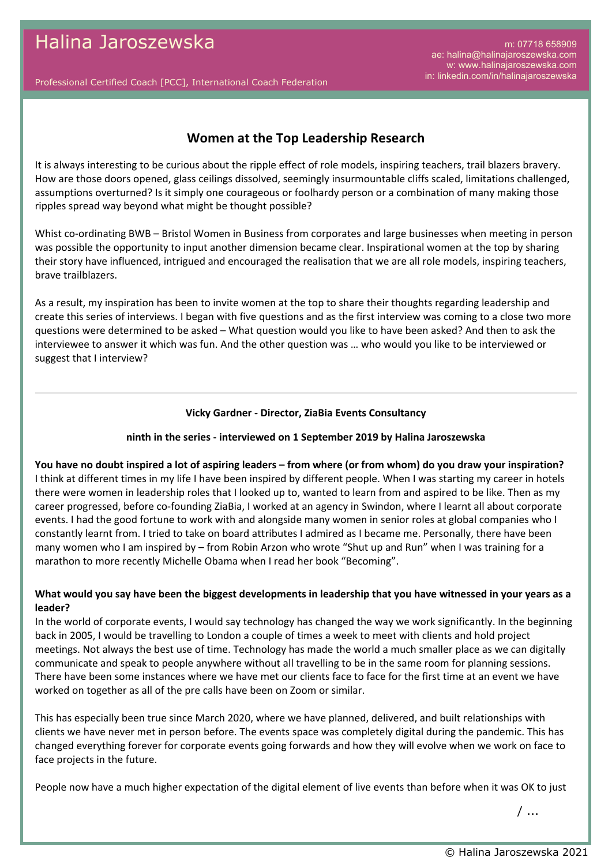m: 07718 658909 ae: halina@halinajaroszewska.com w: www.halinajaroszewska.com in: linkedin.com/in/halinajaroszewska

Professional Certified Coach [PCC], International Coach Federation

# **Women at the Top Leadership Research**

It is always interesting to be curious about the ripple effect of role models, inspiring teachers, trail blazers bravery. How are those doors opened, glass ceilings dissolved, seemingly insurmountable cliffs scaled, limitations challenged, assumptions overturned? Is it simply one courageous or foolhardy person or a combination of many making those ripples spread way beyond what might be thought possible?

Whist co-ordinating BWB – Bristol Women in Business from corporates and large businesses when meeting in person was possible the opportunity to input another dimension became clear. Inspirational women at the top by sharing their story have influenced, intrigued and encouraged the realisation that we are all role models, inspiring teachers, brave trailblazers.

As a result, my inspiration has been to invite women at the top to share their thoughts regarding leadership and create this series of interviews. I began with five questions and as the first interview was coming to a close two more questions were determined to be asked – What question would you like to have been asked? And then to ask the interviewee to answer it which was fun. And the other question was … who would you like to be interviewed or suggest that I interview?

#### **Vicky Gardner - Director, ZiaBia Events Consultancy**

### **ninth in the series - interviewed on 1 September 2019 by Halina Jaroszewska**

**You have no doubt inspired a lot of aspiring leaders – from where (or from whom) do you draw your inspiration?** I think at different times in my life I have been inspired by different people. When I was starting my career in hotels there were women in leadership roles that I looked up to, wanted to learn from and aspired to be like. Then as my career progressed, before co-founding ZiaBia, I worked at an agency in Swindon, where I learnt all about corporate events. I had the good fortune to work with and alongside many women in senior roles at global companies who I constantly learnt from. I tried to take on board attributes I admired as I became me. Personally, there have been many women who I am inspired by – from Robin Arzon who wrote "Shut up and Run" when I was training for a marathon to more recently Michelle Obama when I read her book "Becoming".

### **What would you say have been the biggest developments in leadership that you have witnessed in your years as a leader?**

In the world of corporate events, I would say technology has changed the way we work significantly. In the beginning back in 2005, I would be travelling to London a couple of times a week to meet with clients and hold project meetings. Not always the best use of time. Technology has made the world a much smaller place as we can digitally communicate and speak to people anywhere without all travelling to be in the same room for planning sessions. There have been some instances where we have met our clients face to face for the first time at an event we have worked on together as all of the pre calls have been on Zoom or similar.

This has especially been true since March 2020, where we have planned, delivered, and built relationships with clients we have never met in person before. The events space was completely digital during the pandemic. This has changed everything forever for corporate events going forwards and how they will evolve when we work on face to face projects in the future.

People now have a much higher expectation of the digital element of live events than before when it was OK to just

/ ...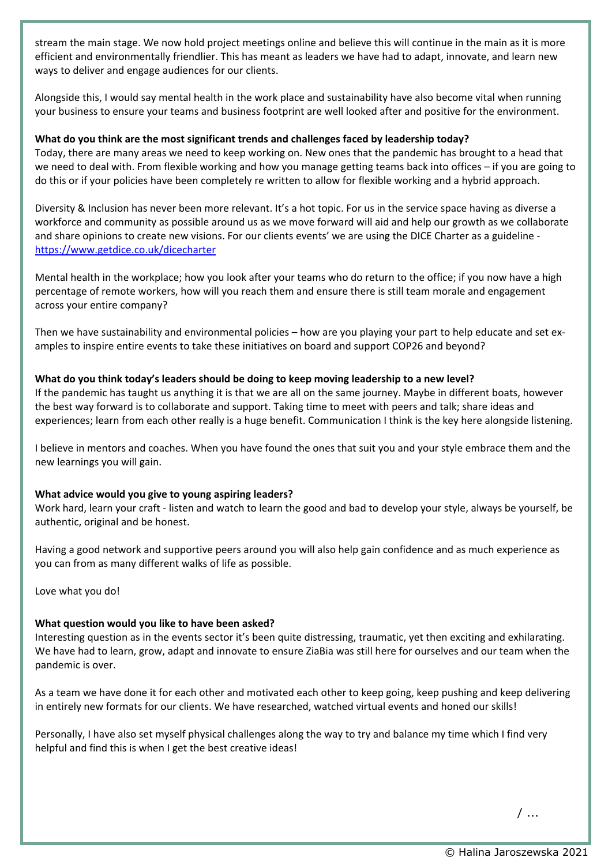stream the main stage. We now hold project meetings online and believe this will continue in the main as it is more efficient and environmentally friendlier. This has meant as leaders we have had to adapt, innovate, and learn new ways to deliver and engage audiences for our clients.

Alongside this, I would say mental health in the work place and sustainability have also become vital when running your business to ensure your teams and business footprint are well looked after and positive for the environment.

# **What do you think are the most significant trends and challenges faced by leadership today?**

Today, there are many areas we need to keep working on. New ones that the pandemic has brought to a head that we need to deal with. From flexible working and how you manage getting teams back into offices – if you are going to do this or if your policies have been completely re written to allow for flexible working and a hybrid approach.

Diversity & Inclusion has never been more relevant. It's a hot topic. For us in the service space having as diverse a workforce and community as possible around us as we move forward will aid and help our growth as we collaborate and share opinions to create new visions. For our clients events' we are using the DICE Charter as a guideline <https://www.getdice.co.uk/dicecharter>

Mental health in the workplace; how you look after your teams who do return to the office; if you now have a high percentage of remote workers, how will you reach them and ensure there is still team morale and engagement across your entire company?

Then we have sustainability and environmental policies – how are you playing your part to help educate and set examples to inspire entire events to take these initiatives on board and support COP26 and beyond?

## **What do you think today's leaders should be doing to keep moving leadership to a new level?**

If the pandemic has taught us anything it is that we are all on the same journey. Maybe in different boats, however the best way forward is to collaborate and support. Taking time to meet with peers and talk; share ideas and experiences; learn from each other really is a huge benefit. Communication I think is the key here alongside listening.

I believe in mentors and coaches. When you have found the ones that suit you and your style embrace them and the new learnings you will gain.

### **What advice would you give to young aspiring leaders?**

Work hard, learn your craft - listen and watch to learn the good and bad to develop your style, always be yourself, be authentic, original and be honest.

Having a good network and supportive peers around you will also help gain confidence and as much experience as you can from as many different walks of life as possible.

Love what you do!

### **What question would you like to have been asked?**

Interesting question as in the events sector it's been quite distressing, traumatic, yet then exciting and exhilarating. We have had to learn, grow, adapt and innovate to ensure ZiaBia was still here for ourselves and our team when the pandemic is over.

As a team we have done it for each other and motivated each other to keep going, keep pushing and keep delivering in entirely new formats for our clients. We have researched, watched virtual events and honed our skills!

Personally, I have also set myself physical challenges along the way to try and balance my time which I find very helpful and find this is when I get the best creative ideas!

/ ...